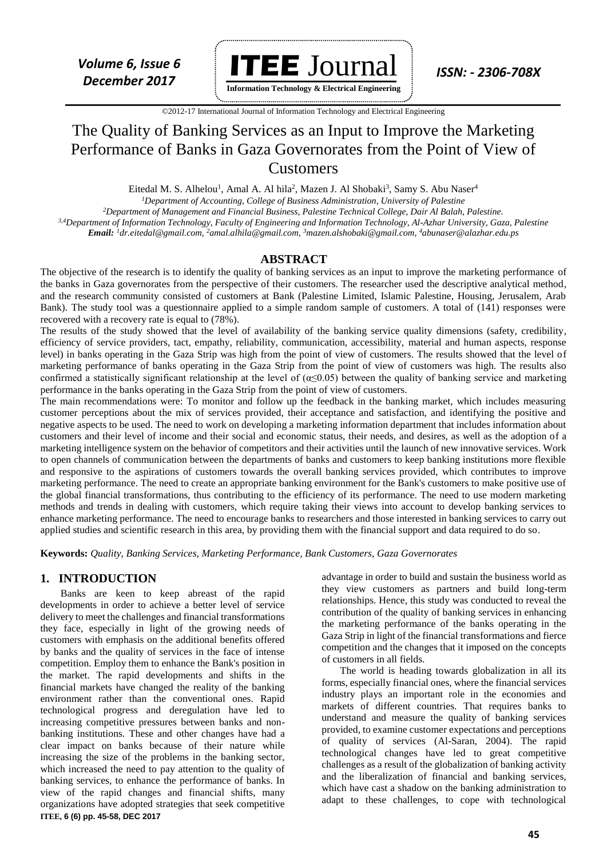

**Information Technology & Electrical Engineering**

 ©2012-17 International Journal of Information Technology and Electrical Engineering `

# The Quality of Banking Services as an Input to Improve the Marketing Performance of Banks in Gaza Governorates from the Point of View of Customers

Eitedal M. S. Alhelou<sup>1</sup>, Amal A. Al hila<sup>2</sup>, Mazen J. Al Shobaki<sup>3</sup>, Samy S. Abu Naser<sup>4</sup>

*<sup>1</sup>Department of Accounting, College of Business Administration, University of Palestine*

*<sup>2</sup>Department of Management and Financial Business, Palestine Technical College, Dair Al Balah, Palestine.*

*3,4Department of Information Technology, Faculty of Engineering and Information Technology, Al-Azhar University, Gaza, Palestine Email: <sup>1</sup>dr.eitedal@gmail.com, <sup>2</sup>amal.alhila@gmail.com, <sup>3</sup>mazen.alshobaki@gmail.com, <sup>4</sup>abunaser@alazhar.edu.ps*

#### **ABSTRACT**

The objective of the research is to identify the quality of banking services as an input to improve the marketing performance of the banks in Gaza governorates from the perspective of their customers. The researcher used the descriptive analytical method, and the research community consisted of customers at Bank (Palestine Limited, Islamic Palestine, Housing, Jerusalem, Arab Bank). The study tool was a questionnaire applied to a simple random sample of customers. A total of (141) responses were recovered with a recovery rate is equal to (78%).

The results of the study showed that the level of availability of the banking service quality dimensions (safety, credibility, efficiency of service providers, tact, empathy, reliability, communication, accessibility, material and human aspects, response level) in banks operating in the Gaza Strip was high from the point of view of customers. The results showed that the level of marketing performance of banks operating in the Gaza Strip from the point of view of customers was high. The results also confirmed a statistically significant relationship at the level of ( $\alpha \leq 0.05$ ) between the quality of banking service and marketing performance in the banks operating in the Gaza Strip from the point of view of customers.

The main recommendations were: To monitor and follow up the feedback in the banking market, which includes measuring customer perceptions about the mix of services provided, their acceptance and satisfaction, and identifying the positive and negative aspects to be used. The need to work on developing a marketing information department that includes information about customers and their level of income and their social and economic status, their needs, and desires, as well as the adoption of a marketing intelligence system on the behavior of competitors and their activities until the launch of new innovative services. Work to open channels of communication between the departments of banks and customers to keep banking institutions more flexible and responsive to the aspirations of customers towards the overall banking services provided, which contributes to improve marketing performance. The need to create an appropriate banking environment for the Bank's customers to make positive use of the global financial transformations, thus contributing to the efficiency of its performance. The need to use modern marketing methods and trends in dealing with customers, which require taking their views into account to develop banking services to enhance marketing performance. The need to encourage banks to researchers and those interested in banking services to carry out applied studies and scientific research in this area, by providing them with the financial support and data required to do so.

**Keywords:** *Quality, Banking Services, Marketing Performance, Bank Customers, Gaza Governorates*

#### **1. INTRODUCTION**

**ITEE, 6 (6) pp. 45-58, DEC 2017** Banks are keen to keep abreast of the rapid developments in order to achieve a better level of service delivery to meet the challenges and financial transformations they face, especially in light of the growing needs of customers with emphasis on the additional benefits offered by banks and the quality of services in the face of intense competition. Employ them to enhance the Bank's position in the market. The rapid developments and shifts in the financial markets have changed the reality of the banking environment rather than the conventional ones. Rapid technological progress and deregulation have led to increasing competitive pressures between banks and nonbanking institutions. These and other changes have had a clear impact on banks because of their nature while increasing the size of the problems in the banking sector, which increased the need to pay attention to the quality of banking services, to enhance the performance of banks. In view of the rapid changes and financial shifts, many organizations have adopted strategies that seek competitive

advantage in order to build and sustain the business world as they view customers as partners and build long-term relationships. Hence, this study was conducted to reveal the contribution of the quality of banking services in enhancing the marketing performance of the banks operating in the Gaza Strip in light of the financial transformations and fierce competition and the changes that it imposed on the concepts of customers in all fields.

The world is heading towards globalization in all its forms, especially financial ones, where the financial services industry plays an important role in the economies and markets of different countries. That requires banks to understand and measure the quality of banking services provided, to examine customer expectations and perceptions of quality of services (Al-Saran, 2004). The rapid technological changes have led to great competitive challenges as a result of the globalization of banking activity and the liberalization of financial and banking services, which have cast a shadow on the banking administration to adapt to these challenges, to cope with technological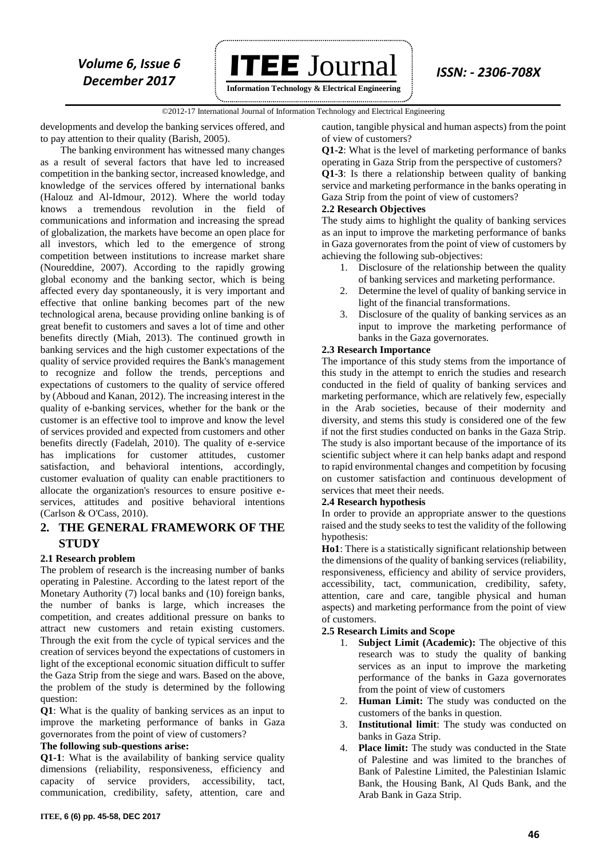

©2012-17 International Journal of Information Technology and Electrical Engineering `

developments and develop the banking services offered, and to pay attention to their quality (Barish, 2005).

The banking environment has witnessed many changes as a result of several factors that have led to increased competition in the banking sector, increased knowledge, and knowledge of the services offered by international banks (Halouz and Al-Idmour, 2012). Where the world today knows a tremendous revolution in the field of communications and information and increasing the spread of globalization, the markets have become an open place for all investors, which led to the emergence of strong competition between institutions to increase market share (Noureddine, 2007). According to the rapidly growing global economy and the banking sector, which is being affected every day spontaneously, it is very important and effective that online banking becomes part of the new technological arena, because providing online banking is of great benefit to customers and saves a lot of time and other benefits directly (Miah, 2013). The continued growth in banking services and the high customer expectations of the quality of service provided requires the Bank's management to recognize and follow the trends, perceptions and expectations of customers to the quality of service offered by (Abboud and Kanan, 2012). The increasing interest in the quality of e-banking services, whether for the bank or the customer is an effective tool to improve and know the level of services provided and expected from customers and other benefits directly (Fadelah, 2010). The quality of e-service has implications for customer attitudes, customer satisfaction, and behavioral intentions, accordingly, customer evaluation of quality can enable practitioners to allocate the organization's resources to ensure positive eservices, attitudes and positive behavioral intentions (Carlson & O'Cass, 2010).

## **2. THE GENERAL FRAMEWORK OF THE STUDY**

#### **2.1 Research problem**

The problem of research is the increasing number of banks operating in Palestine. According to the latest report of the Monetary Authority (7) local banks and (10) foreign banks, the number of banks is large, which increases the competition, and creates additional pressure on banks to attract new customers and retain existing customers. Through the exit from the cycle of typical services and the creation of services beyond the expectations of customers in light of the exceptional economic situation difficult to suffer the Gaza Strip from the siege and wars. Based on the above, the problem of the study is determined by the following question:

**Q1**: What is the quality of banking services as an input to improve the marketing performance of banks in Gaza governorates from the point of view of customers?

#### **The following sub-questions arise:**

**Q1-1**: What is the availability of banking service quality dimensions (reliability, responsiveness, efficiency and capacity of service providers, accessibility, tact, communication, credibility, safety, attention, care and

caution, tangible physical and human aspects) from the point of view of customers?

**Q1-2**: What is the level of marketing performance of banks operating in Gaza Strip from the perspective of customers? **Q1-3**: Is there a relationship between quality of banking service and marketing performance in the banks operating in Gaza Strip from the point of view of customers?

#### **2.2 Research Objectives**

The study aims to highlight the quality of banking services as an input to improve the marketing performance of banks in Gaza governorates from the point of view of customers by achieving the following sub-objectives:

- 1. Disclosure of the relationship between the quality of banking services and marketing performance.
- 2. Determine the level of quality of banking service in light of the financial transformations.
- 3. Disclosure of the quality of banking services as an input to improve the marketing performance of banks in the Gaza governorates.

#### **2.3 Research Importance**

The importance of this study stems from the importance of this study in the attempt to enrich the studies and research conducted in the field of quality of banking services and marketing performance, which are relatively few, especially in the Arab societies, because of their modernity and diversity, and stems this study is considered one of the few if not the first studies conducted on banks in the Gaza Strip. The study is also important because of the importance of its scientific subject where it can help banks adapt and respond to rapid environmental changes and competition by focusing on customer satisfaction and continuous development of services that meet their needs.

#### **2.4 Research hypothesis**

In order to provide an appropriate answer to the questions raised and the study seeks to test the validity of the following hypothesis:

**Ho1**: There is a statistically significant relationship between the dimensions of the quality of banking services (reliability, responsiveness, efficiency and ability of service providers, accessibility, tact, communication, credibility, safety, attention, care and care, tangible physical and human aspects) and marketing performance from the point of view of customers.

#### **2.5 Research Limits and Scope**

- 1. **Subject Limit (Academic):** The objective of this research was to study the quality of banking services as an input to improve the marketing performance of the banks in Gaza governorates from the point of view of customers
- 2. **Human Limit:** The study was conducted on the customers of the banks in question.
- 3. **Institutional limit**: The study was conducted on banks in Gaza Strip.
- 4. **Place limit:** The study was conducted in the State of Palestine and was limited to the branches of Bank of Palestine Limited, the Palestinian Islamic Bank, the Housing Bank, Al Quds Bank, and the Arab Bank in Gaza Strip.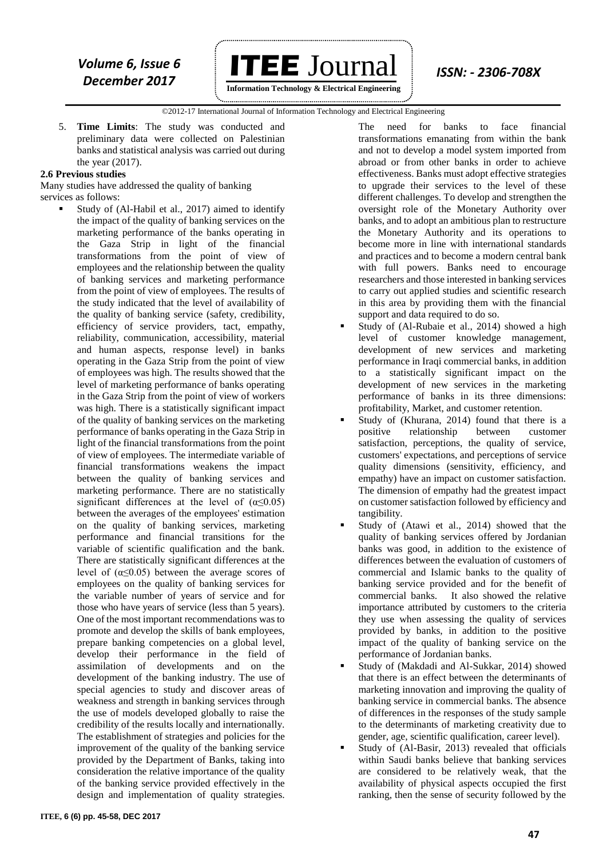

 ©2012-17 International Journal of Information Technology and Electrical Engineering `

5. **Time Limits**: The study was conducted and preliminary data were collected on Palestinian banks and statistical analysis was carried out during the year (2017).

#### **2.6 Previous studies**

Many studies have addressed the quality of banking services as follows:

 Study of (Al-Habil et al., 2017) aimed to identify the impact of the quality of banking services on the marketing performance of the banks operating in the Gaza Strip in light of the financial transformations from the point of view of employees and the relationship between the quality of banking services and marketing performance from the point of view of employees. The results of the study indicated that the level of availability of the quality of banking service (safety, credibility, efficiency of service providers, tact, empathy, reliability, communication, accessibility, material and human aspects, response level) in banks operating in the Gaza Strip from the point of view of employees was high. The results showed that the level of marketing performance of banks operating in the Gaza Strip from the point of view of workers was high. There is a statistically significant impact of the quality of banking services on the marketing performance of banks operating in the Gaza Strip in light of the financial transformations from the point of view of employees. The intermediate variable of financial transformations weakens the impact between the quality of banking services and marketing performance. There are no statistically significant differences at the level of  $(\alpha \le 0.05)$ between the averages of the employees' estimation on the quality of banking services, marketing performance and financial transitions for the variable of scientific qualification and the bank. There are statistically significant differences at the level of  $(α \le 0.05)$  between the average scores of employees on the quality of banking services for the variable number of years of service and for those who have years of service (less than 5 years). One of the most important recommendations was to promote and develop the skills of bank employees, prepare banking competencies on a global level, develop their performance in the field of assimilation of developments and on the development of the banking industry. The use of special agencies to study and discover areas of weakness and strength in banking services through the use of models developed globally to raise the credibility of the results locally and internationally. The establishment of strategies and policies for the improvement of the quality of the banking service provided by the Department of Banks, taking into consideration the relative importance of the quality of the banking service provided effectively in the design and implementation of quality strategies.

The need for banks to face financial transformations emanating from within the bank and not to develop a model system imported from abroad or from other banks in order to achieve effectiveness. Banks must adopt effective strategies to upgrade their services to the level of these different challenges. To develop and strengthen the oversight role of the Monetary Authority over banks, and to adopt an ambitious plan to restructure the Monetary Authority and its operations to become more in line with international standards and practices and to become a modern central bank with full powers. Banks need to encourage researchers and those interested in banking services to carry out applied studies and scientific research in this area by providing them with the financial support and data required to do so.

- Study of (Al-Rubaie et al., 2014) showed a high level of customer knowledge management, development of new services and marketing performance in Iraqi commercial banks, in addition to a statistically significant impact on the development of new services in the marketing performance of banks in its three dimensions: profitability, Market, and customer retention.
- Study of (Khurana, 2014) found that there is a positive relationship between customer satisfaction, perceptions, the quality of service, customers' expectations, and perceptions of service quality dimensions (sensitivity, efficiency, and empathy) have an impact on customer satisfaction. The dimension of empathy had the greatest impact on customer satisfaction followed by efficiency and tangibility.
- Study of (Atawi et al., 2014) showed that the quality of banking services offered by Jordanian banks was good, in addition to the existence of differences between the evaluation of customers of commercial and Islamic banks to the quality of banking service provided and for the benefit of commercial banks. It also showed the relative importance attributed by customers to the criteria they use when assessing the quality of services provided by banks, in addition to the positive impact of the quality of banking service on the performance of Jordanian banks.
- Study of (Makdadi and Al-Sukkar, 2014) showed that there is an effect between the determinants of marketing innovation and improving the quality of banking service in commercial banks. The absence of differences in the responses of the study sample to the determinants of marketing creativity due to gender, age, scientific qualification, career level).
- Study of (Al-Basir, 2013) revealed that officials within Saudi banks believe that banking services are considered to be relatively weak, that the availability of physical aspects occupied the first ranking, then the sense of security followed by the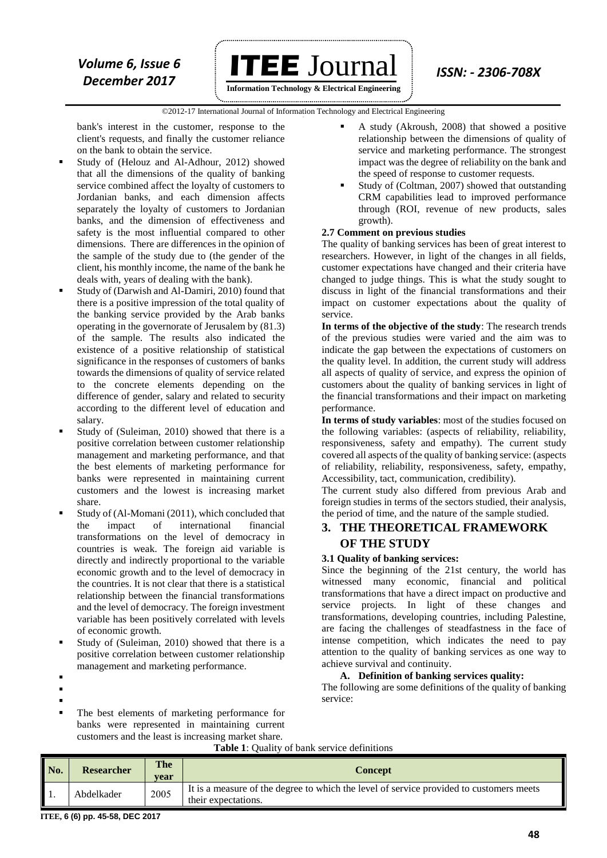

**Information Technology & Electrical Engineering**

 ©2012-17 International Journal of Information Technology and Electrical Engineering `

bank's interest in the customer, response to the client's requests, and finally the customer reliance on the bank to obtain the service.

- Study of (Helouz and Al-Adhour, 2012) showed that all the dimensions of the quality of banking service combined affect the loyalty of customers to Jordanian banks, and each dimension affects separately the loyalty of customers to Jordanian banks, and the dimension of effectiveness and safety is the most influential compared to other dimensions. There are differences in the opinion of the sample of the study due to (the gender of the client, his monthly income, the name of the bank he deals with, years of dealing with the bank).
- Study of (Darwish and Al-Damiri, 2010) found that there is a positive impression of the total quality of the banking service provided by the Arab banks operating in the governorate of Jerusalem by (81.3) of the sample. The results also indicated the existence of a positive relationship of statistical significance in the responses of customers of banks towards the dimensions of quality of service related to the concrete elements depending on the difference of gender, salary and related to security according to the different level of education and salary.
- Study of (Suleiman, 2010) showed that there is a positive correlation between customer relationship management and marketing performance, and that the best elements of marketing performance for banks were represented in maintaining current customers and the lowest is increasing market share.
- Study of (Al-Momani (2011), which concluded that the impact of international financial transformations on the level of democracy in countries is weak. The foreign aid variable is directly and indirectly proportional to the variable economic growth and to the level of democracy in the countries. It is not clear that there is a statistical relationship between the financial transformations and the level of democracy. The foreign investment variable has been positively correlated with levels of economic growth.
- Study of (Suleiman, 2010) showed that there is a positive correlation between customer relationship management and marketing performance.
- :
- .
- :
- The best elements of marketing performance for banks were represented in maintaining current customers and the least is increasing market share.
- A study (Akroush, 2008) that showed a positive relationship between the dimensions of quality of service and marketing performance. The strongest impact was the degree of reliability on the bank and the speed of response to customer requests.
- Study of (Coltman, 2007) showed that outstanding CRM capabilities lead to improved performance through (ROI, revenue of new products, sales growth).

### **2.7 Comment on previous studies**

The quality of banking services has been of great interest to researchers. However, in light of the changes in all fields, customer expectations have changed and their criteria have changed to judge things. This is what the study sought to discuss in light of the financial transformations and their impact on customer expectations about the quality of service.

**In terms of the objective of the study**: The research trends of the previous studies were varied and the aim was to indicate the gap between the expectations of customers on the quality level. In addition, the current study will address all aspects of quality of service, and express the opinion of customers about the quality of banking services in light of the financial transformations and their impact on marketing performance.

**In terms of study variables**: most of the studies focused on the following variables: (aspects of reliability, reliability, responsiveness, safety and empathy). The current study covered all aspects of the quality of banking service: (aspects of reliability, reliability, responsiveness, safety, empathy, Accessibility, tact, communication, credibility).

The current study also differed from previous Arab and foreign studies in terms of the sectors studied, their analysis, the period of time, and the nature of the sample studied.

# **3. THE THEORETICAL FRAMEWORK OF THE STUDY**

### **3.1 Quality of banking services:**

Since the beginning of the 21st century, the world has witnessed many economic, financial and political transformations that have a direct impact on productive and service projects. In light of these changes and transformations, developing countries, including Palestine, are facing the challenges of steadfastness in the face of intense competition, which indicates the need to pay attention to the quality of banking services as one way to achieve survival and continuity.

### **A. Definition of banking services quality:**

The following are some definitions of the quality of banking service:

|     | <b>Table 1:</b> Quality of bank service definitions |             |                                                                                                                |  |  |  |
|-----|-----------------------------------------------------|-------------|----------------------------------------------------------------------------------------------------------------|--|--|--|
| No. | <b>Researcher</b>                                   | The<br>vear | <b>Concept</b>                                                                                                 |  |  |  |
|     | Abdelkader                                          | 2005        | It is a measure of the degree to which the level of service provided to customers meets<br>their expectations. |  |  |  |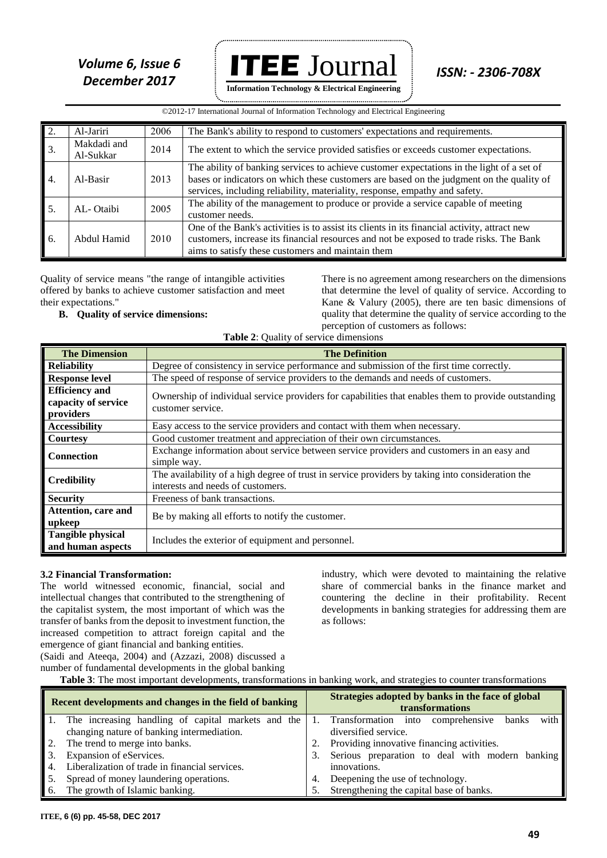*Volume 6, Issue 6* **ITEE**  $J$ OUT $1$ al *ISSN: - 2306-708X* **Information Technology & Electrical Engineering**

|                             | ©2012-17 International Journal of Information Technology and Electrical Engineering |      |                                                                                                                                                                                                                                                                      |  |  |  |  |
|-----------------------------|-------------------------------------------------------------------------------------|------|----------------------------------------------------------------------------------------------------------------------------------------------------------------------------------------------------------------------------------------------------------------------|--|--|--|--|
| $\overline{2}$ .            | Al-Jariri                                                                           | 2006 | The Bank's ability to respond to customers' expectations and requirements.                                                                                                                                                                                           |  |  |  |  |
| 3.                          | Makdadi and<br>Al-Sukkar                                                            | 2014 | The extent to which the service provided satisfies or exceeds customer expectations.                                                                                                                                                                                 |  |  |  |  |
| $\vert$ 4.                  | Al-Basir                                                                            | 2013 | The ability of banking services to achieve customer expectations in the light of a set of<br>bases or indicators on which these customers are based on the judgment on the quality of<br>services, including reliability, materiality, response, empathy and safety. |  |  |  |  |
| $\overline{\phantom{a}}$ 5. | AL-Otaibi                                                                           | 2005 | The ability of the management to produce or provide a service capable of meeting<br>customer needs.                                                                                                                                                                  |  |  |  |  |
| $\vert$ 6.                  | Abdul Hamid                                                                         | 2010 | One of the Bank's activities is to assist its clients in its financial activity, attract new<br>customers, increase its financial resources and not be exposed to trade risks. The Bank<br>aims to satisfy these customers and maintain them                         |  |  |  |  |

Quality of service means "the range of intangible activities offered by banks to achieve customer satisfaction and meet official  $\sigma_j$  can their expectations."

# **B.** Quality of service dimensions:

There is no agreement among researchers on the dimensions that determine the level of quality of service. According to Kane & Valury (2005), there are ten basic dimensions of quality that determine the quality of service according to the perception of customers as follows:

|  | <b>Quality of service dimensions:</b> |  |
|--|---------------------------------------|--|
|  |                                       |  |

| <b>Table 2:</b> Quality of service dimensions             |                                                                                                                                       |  |  |  |  |
|-----------------------------------------------------------|---------------------------------------------------------------------------------------------------------------------------------------|--|--|--|--|
| <b>The Dimension</b>                                      | <b>The Definition</b>                                                                                                                 |  |  |  |  |
| <b>Reliability</b>                                        | Degree of consistency in service performance and submission of the first time correctly.                                              |  |  |  |  |
| <b>Response level</b>                                     | The speed of response of service providers to the demands and needs of customers.                                                     |  |  |  |  |
| <b>Efficiency</b> and<br>capacity of service<br>providers | Ownership of individual service providers for capabilities that enables them to provide outstanding<br>customer service.              |  |  |  |  |
| <b>Accessibility</b>                                      | Easy access to the service providers and contact with them when necessary.                                                            |  |  |  |  |
| <b>Courtesy</b>                                           | Good customer treatment and appreciation of their own circumstances.                                                                  |  |  |  |  |
| <b>Connection</b>                                         | Exchange information about service between service providers and customers in an easy and<br>simple way.                              |  |  |  |  |
| <b>Credibility</b>                                        | The availability of a high degree of trust in service providers by taking into consideration the<br>interests and needs of customers. |  |  |  |  |
| <b>Security</b>                                           | Freeness of bank transactions.                                                                                                        |  |  |  |  |
| Attention, care and<br>upkeep                             | Be by making all efforts to notify the customer.                                                                                      |  |  |  |  |
| <b>Tangible physical</b><br>and human aspects             | Includes the exterior of equipment and personnel.                                                                                     |  |  |  |  |
|                                                           |                                                                                                                                       |  |  |  |  |

#### **3.2 Financial Transformation:**

The world witnessed economic, financial, social and intellectual changes that contributed to the strengthening of the capitalist system, the most important of which was the transfer of banks from the deposit to investment function, the increased competition to attract foreign capital and the emergence of giant financial and banking entities.

industry, which were devoted to maintaining the relative share of commercial banks in the finance market and countering the decline in their profitability. Recent developments in banking strategies for addressing them are as follows:

(Saidi and Ateeqa, 2004) and (Azzazi, 2008) discussed a number of fundamental developments in the global banking

**Table 3**: The most important developments, transformations in banking work, and strategies to counter transformations

|    | Recent developments and changes in the field of banking | Strategies adopted by banks in the face of global<br><b>transformations</b> |                                                    |  |  |  |  |
|----|---------------------------------------------------------|-----------------------------------------------------------------------------|----------------------------------------------------|--|--|--|--|
|    | The increasing handling of capital markets and the      |                                                                             | 1. Transformation into comprehensive banks<br>with |  |  |  |  |
|    | changing nature of banking intermediation.              |                                                                             | diversified service.                               |  |  |  |  |
| 2. | The trend to merge into banks.                          | 2.                                                                          | Providing innovative financing activities.         |  |  |  |  |
| 3. | Expansion of eServices.                                 | Serious preparation to deal with modern banking                             |                                                    |  |  |  |  |
|    | Liberalization of trade in financial services.          |                                                                             | innovations.                                       |  |  |  |  |
| 5. | Spread of money laundering operations.                  |                                                                             | Deepening the use of technology.                   |  |  |  |  |
| 6. | The growth of Islamic banking.                          |                                                                             | Strengthening the capital base of banks.           |  |  |  |  |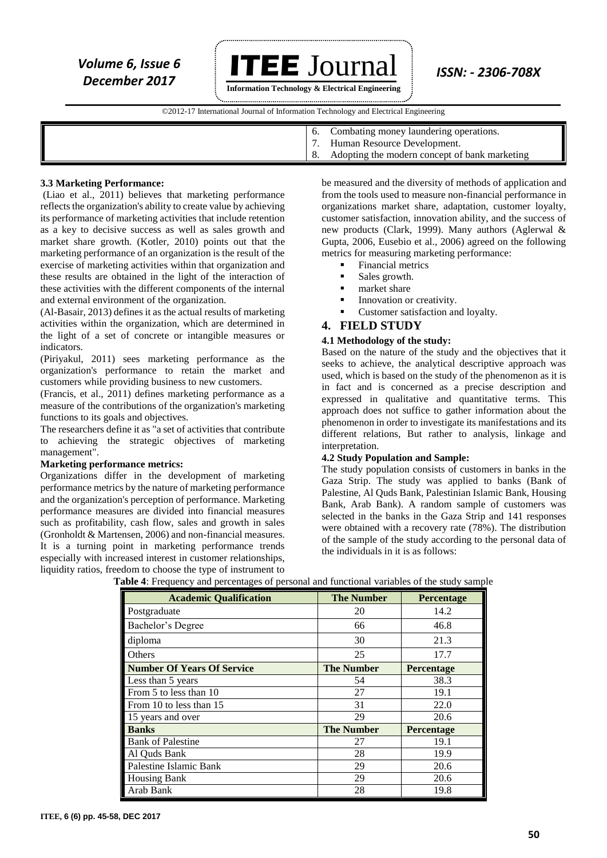*Volume 6, Issue 6* **ITEE**  $J$ OUT $1$ al *ISSN: - 2306-708X December 2017* 

**Information Technology & Electrical Engineering**

 ©2012-17 International Journal of Information Technology and Electrical Engineering `

- 6. Combating money laundering operations.
- 7. Human Resource Development.
- 8. Adopting the modern concept of bank marketing

#### **3.3 Marketing Performance:**

(Liao et al., 2011) believes that marketing performance reflects the organization's ability to create value by achieving its performance of marketing activities that include retention as a key to decisive success as well as sales growth and market share growth. (Kotler, 2010) points out that the marketing performance of an organization is the result of the exercise of marketing activities within that organization and these results are obtained in the light of the interaction of these activities with the different components of the internal and external environment of the organization.

(Al-Basair, 2013) defines it as the actual results of marketing activities within the organization, which are determined in the light of a set of concrete or intangible measures or indicators.

(Piriyakul, 2011) sees marketing performance as the organization's performance to retain the market and customers while providing business to new customers.

(Francis, et al., 2011) defines marketing performance as a measure of the contributions of the organization's marketing functions to its goals and objectives.

The researchers define it as "a set of activities that contribute to achieving the strategic objectives of marketing management".

#### **Marketing performance metrics:**

Organizations differ in the development of marketing performance metrics by the nature of marketing performance and the organization's perception of performance. Marketing performance measures are divided into financial measures such as profitability, cash flow, sales and growth in sales (Gronholdt & Martensen, 2006) and non-financial measures. It is a turning point in marketing performance trends especially with increased interest in customer relationships, liquidity ratios, freedom to choose the type of instrument to

be measured and the diversity of methods of application and from the tools used to measure non-financial performance in organizations market share, adaptation, customer loyalty, customer satisfaction, innovation ability, and the success of new products (Clark, 1999). Many authors (Aglerwal & Gupta, 2006, Eusebio et al., 2006) agreed on the following metrics for measuring marketing performance:

Financial metrics

- **Sales growth.**
- market share
- Innovation or creativity.
- Customer satisfaction and loyalty.

#### **4. FIELD STUDY**

#### **4.1 Methodology of the study:**

Based on the nature of the study and the objectives that it seeks to achieve, the analytical descriptive approach was used, which is based on the study of the phenomenon as it is in fact and is concerned as a precise description and expressed in qualitative and quantitative terms. This approach does not suffice to gather information about the phenomenon in order to investigate its manifestations and its different relations, But rather to analysis, linkage and interpretation.

#### **4.2 Study Population and Sample:**

The study population consists of customers in banks in the Gaza Strip. The study was applied to banks (Bank of Palestine, Al Quds Bank, Palestinian Islamic Bank, Housing Bank, Arab Bank). A random sample of customers was selected in the banks in the Gaza Strip and 141 responses were obtained with a recovery rate (78%). The distribution of the sample of the study according to the personal data of the individuals in it is as follows:

| <b>Academic Qualification</b>     | <b>The Number</b> | <b>Percentage</b> |
|-----------------------------------|-------------------|-------------------|
| Postgraduate                      | 20                | 14.2              |
| Bachelor's Degree                 | 66                | 46.8              |
| diploma                           | 30                | 21.3              |
| Others                            | 25                | 17.7              |
| <b>Number Of Years Of Service</b> | <b>The Number</b> | Percentage        |
| Less than 5 years                 | 54                | 38.3              |
| From 5 to less than 10            | 27                | 19.1              |
| From 10 to less than 15           | 31                | 22.0              |
| 15 years and over                 | 29                | 20.6              |
| <b>Banks</b>                      | <b>The Number</b> | Percentage        |
| <b>Bank of Palestine</b>          | 27                | 19.1              |
| Al Quds Bank                      | 28                | 19.9              |
| Palestine Islamic Bank            | 29                | 20.6              |
| <b>Housing Bank</b>               | 29                | 20.6              |
| Arab Bank                         | 28                | 19.8              |

**Table 4**: Frequency and percentages of personal and functional variables of the study sample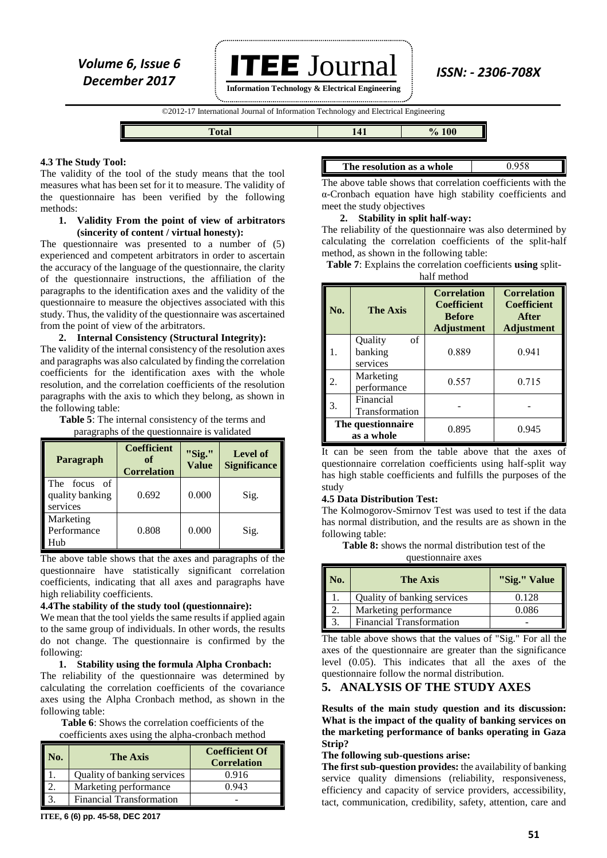**Information Technology & Electrical Engineering**

©2012-17 International Journal of Information Technology and Electrical Engineering `



#### **4.3 The Study Tool:**

The validity of the tool of the study means that the tool measures what has been set for it to measure. The validity of the questionnaire has been verified by the following methods:

#### **1. Validity From the point of view of arbitrators (sincerity of content / virtual honesty):**

The questionnaire was presented to a number of (5) experienced and competent arbitrators in order to ascertain the accuracy of the language of the questionnaire, the clarity of the questionnaire instructions, the affiliation of the paragraphs to the identification axes and the validity of the questionnaire to measure the objectives associated with this study. Thus, the validity of the questionnaire was ascertained from the point of view of the arbitrators.

#### **2. Internal Consistency (Structural Integrity):**

The validity of the internal consistency of the resolution axes and paragraphs was also calculated by finding the correlation coefficients for the identification axes with the whole resolution, and the correlation coefficients of the resolution paragraphs with the axis to which they belong, as shown in the following table:

**Table 5**: The internal consistency of the terms and paragraphs of the questionnaire is validated

| Paragraph                                         | <b>Coefficient</b><br>of<br><b>Correlation</b> | "Sig."<br>Value | Level of<br><b>Significance</b> |
|---------------------------------------------------|------------------------------------------------|-----------------|---------------------------------|
| The<br>focus<br>of<br>quality banking<br>services | 0.692                                          | 0.000           | Sig.                            |
| Marketing<br>Performance<br>Hub                   | 0.808                                          | 0.000           | Sig.                            |

The above table shows that the axes and paragraphs of the questionnaire have statistically significant correlation coefficients, indicating that all axes and paragraphs have high reliability coefficients.

#### **4.4The stability of the study tool (questionnaire):**

We mean that the tool yields the same results if applied again to the same group of individuals. In other words, the results do not change. The questionnaire is confirmed by the following:

**1. Stability using the formula Alpha Cronbach:**

The reliability of the questionnaire was determined by calculating the correlation coefficients of the covariance axes using the Alpha Cronbach method, as shown in the following table:

**Table 6**: Shows the correlation coefficients of the coefficients axes using the alpha-cronbach method

| Nо. | <b>The Axis</b>                 | <b>Coefficient Of</b><br><b>Correlation</b> |
|-----|---------------------------------|---------------------------------------------|
|     | Quality of banking services     | 0.916                                       |
|     | Marketing performance           | 0.943                                       |
|     | <b>Financial Transformation</b> |                                             |

**ITEE, 6 (6) pp. 45-58, DEC 2017**

**The resolution as a whole** 0.958

The above table shows that correlation coefficients with the α-Cronbach equation have high stability coefficients and meet the study objectives

### **2. Stability in split half-way:**

The reliability of the questionnaire was also determined by calculating the correlation coefficients of the split-half method, as shown in the following table:

**Table 7**: Explains the correlation coefficients **using** splithalf method

| No.                             | <b>The Axis</b>                      | <b>Correlation</b><br><b>Coefficient</b><br><b>Before</b><br><b>Adjustment</b> | <b>Correlation</b><br><b>Coefficient</b><br>After<br><b>Adjustment</b> |  |  |  |  |
|---------------------------------|--------------------------------------|--------------------------------------------------------------------------------|------------------------------------------------------------------------|--|--|--|--|
|                                 | of<br>Quality<br>banking<br>services | 0.889                                                                          | 0.941                                                                  |  |  |  |  |
|                                 | Marketing<br>performance             | 0.557                                                                          | 0.715                                                                  |  |  |  |  |
| 3.                              | Financial<br>Transformation          |                                                                                |                                                                        |  |  |  |  |
| The questionnaire<br>as a whole |                                      | 0.895                                                                          | 0.945                                                                  |  |  |  |  |

It can be seen from the table above that the axes of questionnaire correlation coefficients using half-split way has high stable coefficients and fulfills the purposes of the study

#### **4.5 Data Distribution Test:**

The Kolmogorov-Smirnov Test was used to test if the data has normal distribution, and the results are as shown in the following table:

**Table 8:** shows the normal distribution test of the

questionnaire axes

| No. | <b>The Axis</b>                 | "Sig." Value |
|-----|---------------------------------|--------------|
|     | Quality of banking services     | 0.128        |
|     | Marketing performance           | 0.086        |
|     | <b>Financial Transformation</b> |              |

The table above shows that the values of "Sig." For all the axes of the questionnaire are greater than the significance level (0.05). This indicates that all the axes of the questionnaire follow the normal distribution.

#### **5. ANALYSIS OF THE STUDY AXES**

**Results of the main study question and its discussion: What is the impact of the quality of banking services on the marketing performance of banks operating in Gaza Strip?**

#### **The following sub-questions arise:**

**The first sub-question provides:** the availability of banking service quality dimensions (reliability, responsiveness, efficiency and capacity of service providers, accessibility, tact, communication, credibility, safety, attention, care and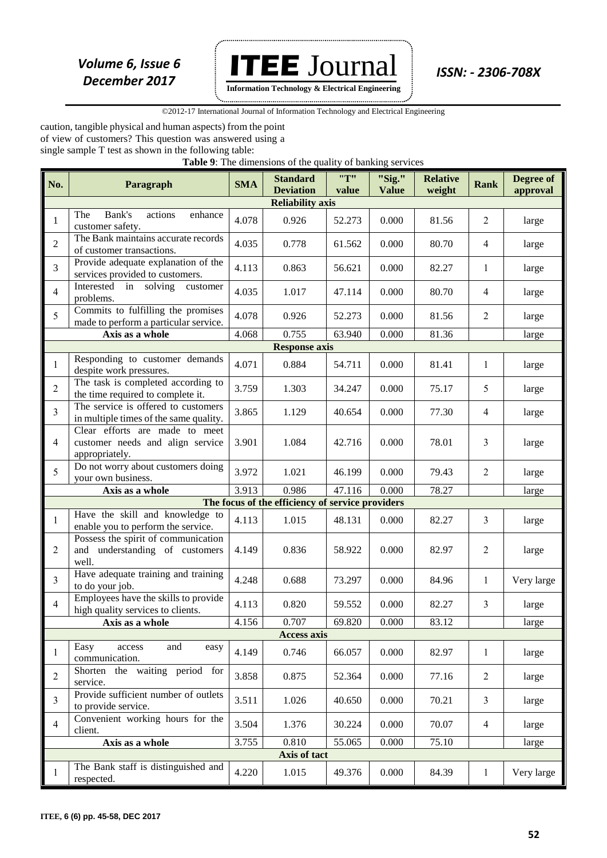

**Information Technology & Electrical Engineering**

 ©2012-17 International Journal of Information Technology and Electrical Engineering `

caution, tangible physical and human aspects) from the point of view of customers? This question was answered using a single sample T test as shown in the following table:

**Table 9**: The dimensions of the quality of banking services

| No.            | Paragraph                                                                            | <b>SMA</b> | <b>Standard</b><br><b>Deviation</b>              | "T"<br>value | "Sig."<br><b>Value</b> | <b>Relative</b><br>weight | <b>Rank</b>              | Degree of<br>approval |
|----------------|--------------------------------------------------------------------------------------|------------|--------------------------------------------------|--------------|------------------------|---------------------------|--------------------------|-----------------------|
|                |                                                                                      |            | <b>Reliability axis</b>                          |              |                        |                           |                          |                       |
| $\mathbf{1}$   | Bank's<br>The<br>actions<br>enhance<br>customer safety.                              | 4.078      | 0.926                                            | 52.273       | 0.000                  | 81.56                     | $\overline{2}$           | large                 |
| $\overline{2}$ | The Bank maintains accurate records<br>of customer transactions.                     | 4.035      | 0.778                                            | 61.562       | 0.000                  | 80.70                     | $\overline{\mathcal{A}}$ | large                 |
| 3              | Provide adequate explanation of the<br>services provided to customers.               | 4.113      | 0.863                                            | 56.621       | 0.000                  | 82.27                     | $\mathbf{1}$             | large                 |
| $\overline{4}$ | Interested in solving<br>customer<br>problems.                                       | 4.035      | 1.017                                            | 47.114       | 0.000                  | 80.70                     | $\overline{4}$           | large                 |
| 5              | Commits to fulfilling the promises<br>made to perform a particular service.          | 4.078      | 0.926                                            | 52.273       | 0.000                  | 81.56                     | $\overline{2}$           | large                 |
|                | Axis as a whole                                                                      | 4.068      | 0.755                                            | 63.940       | 0.000                  | 81.36                     |                          | large                 |
|                |                                                                                      |            | <b>Response axis</b>                             |              |                        |                           |                          |                       |
| $\mathbf{1}$   | Responding to customer demands<br>despite work pressures.                            | 4.071      | 0.884                                            | 54.711       | 0.000                  | 81.41                     | 1                        | large                 |
| $\overline{2}$ | The task is completed according to<br>the time required to complete it.              | 3.759      | 1.303                                            | 34.247       | 0.000                  | 75.17                     | 5                        | large                 |
| 3              | The service is offered to customers<br>in multiple times of the same quality.        | 3.865      | 1.129                                            | 40.654       | 0.000                  | 77.30                     | $\overline{4}$           | large                 |
| $\overline{4}$ | Clear efforts are made to meet<br>customer needs and align service<br>appropriately. | 3.901      | 1.084                                            | 42.716       | 0.000                  | 78.01                     | 3                        | large                 |
| 5              | Do not worry about customers doing<br>your own business.                             | 3.972      | 1.021                                            | 46.199       | 0.000                  | 79.43                     | $\overline{2}$           | large                 |
|                | Axis as a whole                                                                      | 3.913      | 0.986                                            | 47.116       | 0.000                  | 78.27                     |                          | large                 |
|                |                                                                                      |            | The focus of the efficiency of service providers |              |                        |                           |                          |                       |
| $\mathbf{1}$   | Have the skill and knowledge to<br>enable you to perform the service.                | 4.113      | 1.015                                            | 48.131       | 0.000                  | 82.27                     | 3                        | large                 |
| $\overline{2}$ | Possess the spirit of communication<br>and understanding of customers<br>well.       | 4.149      | 0.836                                            | 58.922       | 0.000                  | 82.97                     | $\overline{2}$           | large                 |
| $\overline{3}$ | Have adequate training and training<br>to do your job.                               | 4.248      | 0.688                                            | 73.297       | 0.000                  | 84.96                     | $\mathbf{1}$             | Very large            |
| $\overline{4}$ | Employees have the skills to provide<br>high quality services to clients.            | 4.113      | 0.820                                            | 59.552       | 0.000                  | 82.27                     | 3                        | large                 |
|                | Axis as a whole                                                                      | 4.156      | 0.707                                            | 69.820       | 0.000                  | 83.12                     |                          | large                 |
|                |                                                                                      |            | <b>Access axis</b>                               |              |                        |                           |                          |                       |
| $\mathbf{1}$   | and<br>Easy<br>access<br>easy<br>communication.                                      | 4.149      | 0.746                                            | 66.057       | 0.000                  | 82.97                     | $\mathbf{1}$             | large                 |
| $\sqrt{2}$     | the waiting period for<br>Shorten<br>service.                                        | 3.858      | 0.875                                            | 52.364       | 0.000                  | 77.16                     | $\overline{2}$           | large                 |
| $\mathfrak{Z}$ | Provide sufficient number of outlets<br>to provide service.                          | 3.511      | 1.026                                            | 40.650       | 0.000                  | 70.21                     | 3                        | large                 |
| $\overline{4}$ | Convenient working hours for the<br>client.                                          | 3.504      | 1.376                                            | 30.224       | 0.000                  | 70.07                     | $\overline{4}$           | large                 |
|                | Axis as a whole                                                                      | 3.755      | 0.810                                            | 55.065       | 0.000                  | 75.10                     |                          | large                 |
|                |                                                                                      |            | Axis of tact                                     |              |                        |                           |                          |                       |
| 1              | The Bank staff is distinguished and<br>respected.                                    | 4.220      | 1.015                                            | 49.376       | 0.000                  | 84.39                     | $\mathbf{1}$             | Very large            |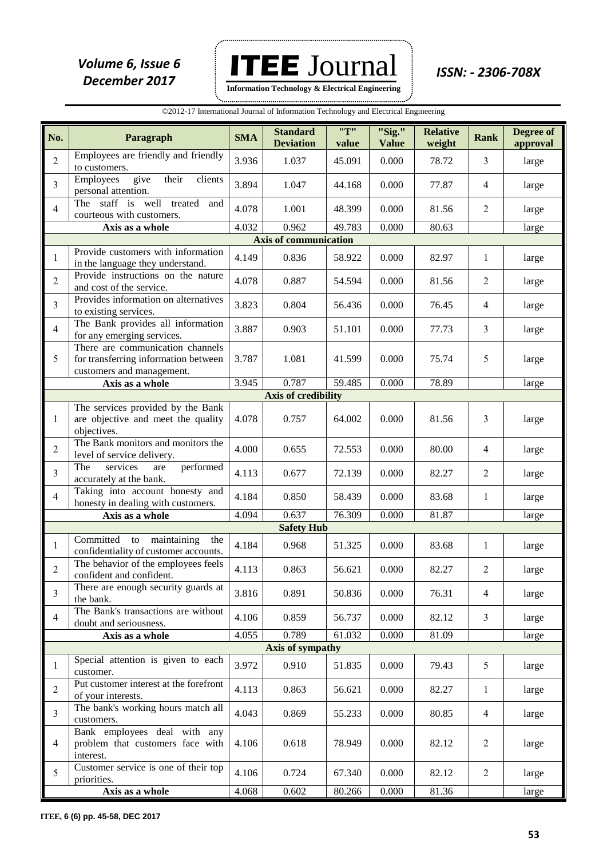**ITEE** Journal *ISSN: - 2306-708X Volume 6, Issue 6*  **Information Technology & Electrical Engineering**

......................

| ©2012-17 International Journal of Information Technology and Electrical Engineering |                                                                                                       |            |                                     |              |                        |                           |                |                       |
|-------------------------------------------------------------------------------------|-------------------------------------------------------------------------------------------------------|------------|-------------------------------------|--------------|------------------------|---------------------------|----------------|-----------------------|
| No.                                                                                 | Paragraph                                                                                             | <b>SMA</b> | <b>Standard</b><br><b>Deviation</b> | "T"<br>value | "Sig."<br><b>Value</b> | <b>Relative</b><br>weight | <b>Rank</b>    | Degree of<br>approval |
| $\overline{2}$                                                                      | Employees are friendly and friendly<br>to customers.                                                  | 3.936      | 1.037                               | 45.091       | 0.000                  | 78.72                     | $\overline{3}$ | large                 |
| $\overline{3}$                                                                      | Employees<br>give<br>their<br>clients<br>personal attention.                                          | 3.894      | 1.047                               | 44.168       | 0.000                  | 77.87                     | $\overline{4}$ | large                 |
| $\overline{4}$                                                                      | The staff is well treated<br>and<br>courteous with customers.                                         | 4.078      | 1.001                               | 48.399       | 0.000                  | 81.56                     | $\overline{2}$ | large                 |
|                                                                                     | Axis as a whole                                                                                       | 4.032      | 0.962                               | 49.783       | 0.000                  | 80.63                     |                | large                 |
|                                                                                     |                                                                                                       |            | <b>Axis of communication</b>        |              |                        |                           |                |                       |
| 1                                                                                   | Provide customers with information<br>in the language they understand.                                | 4.149      | 0.836                               | 58.922       | 0.000                  | 82.97                     | 1              | large                 |
| $\sqrt{2}$                                                                          | Provide instructions on the nature<br>and cost of the service.                                        | 4.078      | 0.887                               | 54.594       | 0.000                  | 81.56                     | $\overline{2}$ | large                 |
| $\overline{3}$                                                                      | Provides information on alternatives<br>to existing services.                                         | 3.823      | 0.804                               | 56.436       | 0.000                  | 76.45                     | $\overline{4}$ | large                 |
| $\overline{4}$                                                                      | The Bank provides all information<br>for any emerging services.                                       | 3.887      | 0.903                               | 51.101       | 0.000                  | 77.73                     | 3              | large                 |
| 5                                                                                   | There are communication channels<br>for transferring information between<br>customers and management. | 3.787      | 1.081                               | 41.599       | 0.000                  | 75.74                     | 5              | large                 |
|                                                                                     | Axis as a whole                                                                                       | 3.945      | 0.787                               | 59.485       | 0.000                  | 78.89                     |                | large                 |
|                                                                                     |                                                                                                       |            | <b>Axis of credibility</b>          |              |                        |                           |                |                       |
| 1                                                                                   | The services provided by the Bank<br>are objective and meet the quality<br>objectives.                | 4.078      | 0.757                               | 64.002       | 0.000                  | 81.56                     | $\overline{3}$ | large                 |
| $\overline{2}$                                                                      | The Bank monitors and monitors the<br>level of service delivery.                                      | 4.000      | 0.655                               | 72.553       | 0.000                  | 80.00                     | 4              | large                 |
| $\overline{3}$                                                                      | The<br>performed<br>services<br>are<br>accurately at the bank.                                        | 4.113      | 0.677                               | 72.139       | 0.000                  | 82.27                     | $\overline{2}$ | large                 |
| $\overline{4}$                                                                      | Taking into account honesty and<br>honesty in dealing with customers.                                 | 4.184      | 0.850                               | 58.439       | 0.000                  | 83.68                     | 1              | large                 |
|                                                                                     | Axis as a whole                                                                                       | 4.094      | 0.637                               | 76.309       | 0.000                  | 81.87                     |                | large                 |
|                                                                                     |                                                                                                       |            | <b>Safety Hub</b>                   |              |                        |                           |                |                       |
| $\mathbf{1}$                                                                        | Committed<br>to maintaining<br>the<br>confidentiality of customer accounts.                           | 4.184      | 0.968                               | 51.325       | 0.000                  | 83.68                     | 1              | large                 |
| 2                                                                                   | The behavior of the employees feels<br>confident and confident.                                       | 4.113      | 0.863                               | 56.621       | 0.000                  | 82.27                     | 2              | large                 |
| $\mathfrak{Z}$                                                                      | There are enough security guards at<br>the bank.                                                      | 3.816      | 0.891                               | 50.836       | 0.000                  | 76.31                     | 4              | large                 |
| $\overline{4}$                                                                      | The Bank's transactions are without<br>doubt and seriousness.                                         | 4.106      | 0.859                               | 56.737       | 0.000                  | 82.12                     | $\mathfrak{Z}$ | large                 |
|                                                                                     | Axis as a whole                                                                                       | 4.055      | 0.789                               | 61.032       | 0.000                  | 81.09                     |                | large                 |
|                                                                                     |                                                                                                       |            | Axis of sympathy                    |              |                        |                           |                |                       |
| $\mathbf{1}$                                                                        | Special attention is given to each<br>customer.                                                       | 3.972      | 0.910                               | 51.835       | 0.000                  | 79.43                     | 5              | large                 |
| $\sqrt{2}$                                                                          | Put customer interest at the forefront<br>of your interests.                                          | 4.113      | 0.863                               | 56.621       | 0.000                  | 82.27                     | 1              | large                 |
| $\overline{3}$                                                                      | The bank's working hours match all<br>customers.                                                      | 4.043      | 0.869                               | 55.233       | 0.000                  | 80.85                     | $\overline{4}$ | large                 |
| $\overline{4}$                                                                      | Bank employees deal with any<br>problem that customers face with<br>interest.                         | 4.106      | 0.618                               | 78.949       | 0.000                  | 82.12                     | $\overline{2}$ | large                 |
| 5                                                                                   | Customer service is one of their top<br>priorities.                                                   | 4.106      | 0.724                               | 67.340       | 0.000                  | 82.12                     | $\overline{2}$ | large                 |
|                                                                                     | Axis as a whole                                                                                       | 4.068      | 0.602                               | 80.266       | 0.000                  | 81.36                     |                | large                 |

**ITEE, 6 (6) pp. 45-58, DEC 2017**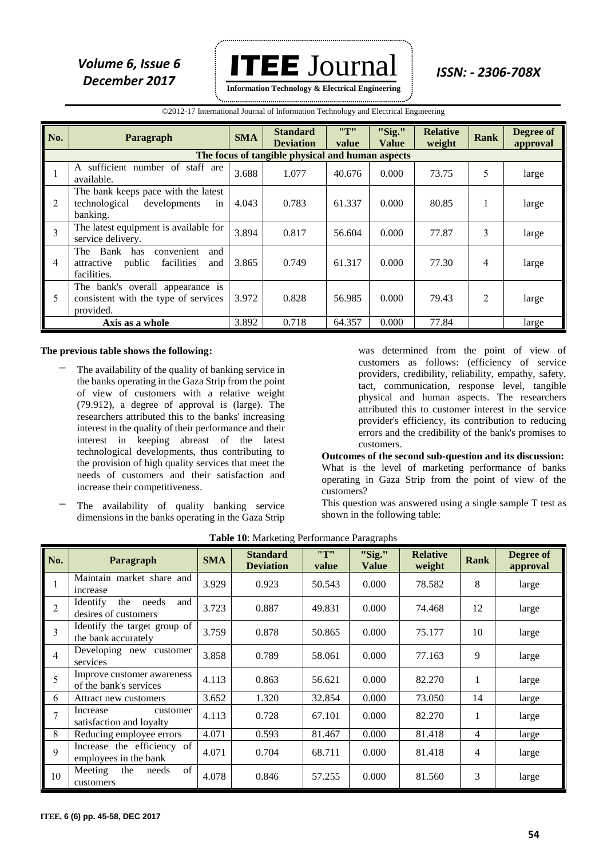

 ©2012-17 International Journal of Information Technology and Electrical Engineering

| No.            | Paragraph                                                                                        | <b>SMA</b> | <b>Standard</b><br><b>Deviation</b> | "T"<br>value | "Sig."<br>Value | <b>Relative</b><br>weight | <b>Rank</b> | Degree of<br>approval |  |
|----------------|--------------------------------------------------------------------------------------------------|------------|-------------------------------------|--------------|-----------------|---------------------------|-------------|-----------------------|--|
|                | The focus of tangible physical and human aspects                                                 |            |                                     |              |                 |                           |             |                       |  |
|                | sufficient number of staff are<br>A<br>available.                                                | 3.688      | 1.077                               | 40.676       | 0.000           | 73.75                     | 5           | large                 |  |
| $\overline{2}$ | The bank keeps pace with the latest<br>technological<br>developments<br>in<br>banking.           | 4.043      | 0.783                               | 61.337       | 0.000           | 80.85                     | 1           | large                 |  |
| $\vert$ 3      | The latest equipment is available for<br>service delivery.                                       | 3.894      | 0.817                               | 56.604       | 0.000           | 77.87                     | 3           | large                 |  |
| $\overline{4}$ | The Bank<br>has<br>convenient<br>and<br>facilities<br>public<br>attractive<br>and<br>facilities. | 3.865      | 0.749                               | 61.317       | 0.000           | 77.30                     | 4           | large                 |  |
| 5              | The bank's overall appearance is<br>consistent with the type of services<br>provided.            | 3.972      | 0.828                               | 56.985       | 0.000           | 79.43                     | 2           | large                 |  |
|                | Axis as a whole                                                                                  | 3.892      | 0.718                               | 64.357       | 0.000           | 77.84                     |             | large                 |  |

#### **The previous table shows the following:**

- The availability of the quality of banking service in the banks operating in the Gaza Strip from the point of view of customers with a relative weight (79.912), a degree of approval is (large). The researchers attributed this to the banks' increasing interest in the quality of their performance and their interest in keeping abreast of the latest technological developments, thus contributing to the provision of high quality services that meet the needs of customers and their satisfaction and increase their competitiveness.
- The availability of quality banking service dimensions in the banks operating in the Gaza Strip

was determined from the point of view of customers as follows: (efficiency of service providers, credibility, reliability, empathy, safety, tact, communication, response level, tangible physical and human aspects. The researchers attributed this to customer interest in the service provider's efficiency, its contribution to reducing errors and the credibility of the bank's promises to customers.

**Outcomes of the second sub-question and its discussion:** What is the level of marketing performance of banks operating in Gaza Strip from the point of view of the customers?

This question was answered using a single sample T test as shown in the following table:

| No.            | Paragraph                                               | <b>SMA</b> | <b>Standard</b><br><b>Deviation</b> | "T"<br>value | "Sig."<br><b>Value</b> | <b>Relative</b><br>weight | <b>Rank</b> | Degree of<br>approval |
|----------------|---------------------------------------------------------|------------|-------------------------------------|--------------|------------------------|---------------------------|-------------|-----------------------|
|                | Maintain market share and<br>increase                   | 3.929      | 0.923                               | 50.543       | 0.000                  | 78.582                    | 8           | large                 |
| $\overline{2}$ | needs<br>Identify<br>the<br>and<br>desires of customers | 3.723      | 0.887                               | 49.831       | 0.000                  | 74.468                    | 12          | large                 |
| 3              | Identify the target group of<br>the bank accurately     | 3.759      | 0.878                               | 50.865       | 0.000                  | 75.177                    | 10          | large                 |
| 4              | Developing new customer<br>services                     | 3.858      | 0.789                               | 58.061       | 0.000                  | 77.163                    | 9           | large                 |
| 5              | Improve customer awareness<br>of the bank's services    | 4.113      | 0.863                               | 56.621       | 0.000                  | 82.270                    | 1           | large                 |
| 6              | Attract new customers                                   | 3.652      | 1.320                               | 32.854       | 0.000                  | 73.050                    | 14          | large                 |
| 7              | Increase<br>customer<br>satisfaction and loyalty        | 4.113      | 0.728                               | 67.101       | 0.000                  | 82.270                    | 1           | large                 |
| 8              | Reducing employee errors                                | 4.071      | 0.593                               | 81.467       | 0.000                  | 81.418                    | 4           | large                 |
| 9              | Increase the efficiency of<br>employees in the bank     | 4.071      | 0.704                               | 68.711       | 0.000                  | 81.418                    | 4           | large                 |
| 10             | of<br>Meeting<br>the<br>needs<br>customers              | 4.078      | 0.846                               | 57.255       | 0.000                  | 81.560                    | 3           | large                 |

**Table 10**: Marketing Performance Paragraphs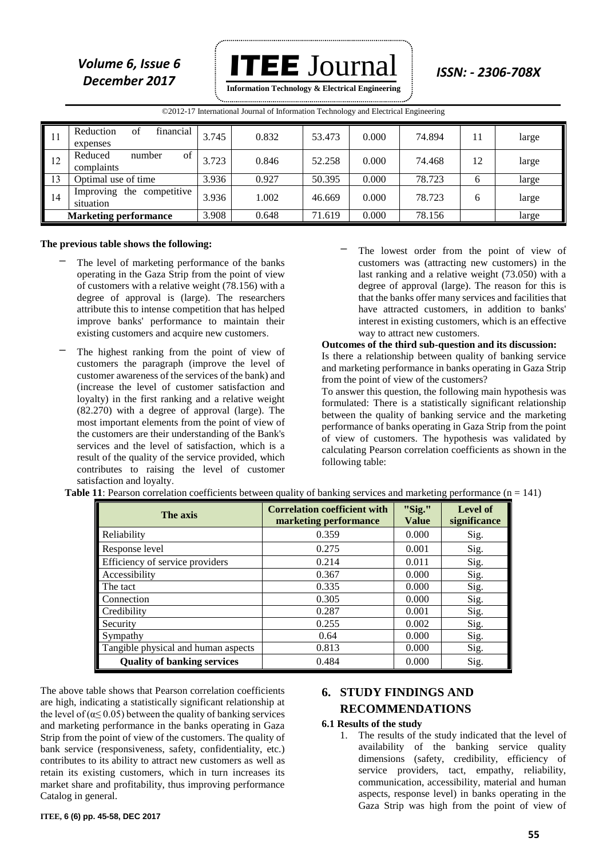*Volume 6, Issue 6* **ITEE**  $J$ OUT $1$ al *ISSN: - 2306-708X* **Information Technology & Electrical Engineering**

|                              | ©2012-17 International Journal of Information Technology and Electrical Engineering |       |       |        |       |        |    |       |
|------------------------------|-------------------------------------------------------------------------------------|-------|-------|--------|-------|--------|----|-------|
| -11                          | financial<br>Reduction<br>of<br>expenses                                            | 3.745 | 0.832 | 53.473 | 0.000 | 74.894 | 11 | large |
| 12                           | Reduced<br>of<br>number<br>complaints                                               | 3.723 | 0.846 | 52.258 | 0.000 | 74.468 | 12 | large |
| 13                           | Optimal use of time                                                                 | 3.936 | 0.927 | 50.395 | 0.000 | 78.723 | 6  | large |
| 14                           | the competitive<br>Improving<br>situation                                           | 3.936 | 1.002 | 46.669 | 0.000 | 78.723 | 6  | large |
| <b>Marketing performance</b> |                                                                                     | 3.908 | 0.648 | 71.619 | 0.000 | 78.156 |    | large |

# 

#### **The previous table shows the following:**

- The level of marketing performance of the banks operating in the Gaza Strip from the point of view of customers with a relative weight (78.156) with a degree of approval is (large). The researchers attribute this to intense competition that has helped improve banks' performance to maintain their existing customers and acquire new customers.
- The highest ranking from the point of view of customers the paragraph (improve the level of customer awareness of the services of the bank) and (increase the level of customer satisfaction and loyalty) in the first ranking and a relative weight (82.270) with a degree of approval (large). The most important elements from the point of view of the customers are their understanding of the Bank's services and the level of satisfaction, which is a result of the quality of the service provided, which contributes to raising the level of customer satisfaction and loyalty.
- The lowest order from the point of view of customers was (attracting new customers) in the last ranking and a relative weight (73.050) with a degree of approval (large). The reason for this is that the banks offer many services and facilities that have attracted customers, in addition to banks' interest in existing customers, which is an effective way to attract new customers.

#### **Outcomes of the third sub-question and its discussion:**

Is there a relationship between quality of banking service and marketing performance in banks operating in Gaza Strip from the point of view of the customers?

To answer this question, the following main hypothesis was formulated: There is a statistically significant relationship between the quality of banking service and the marketing performance of banks operating in Gaza Strip from the point of view of customers. The hypothesis was validated by calculating Pearson correlation coefficients as shown in the following table:

| The axis                            | <b>Correlation coefficient with</b><br>marketing performance | "Sig."<br><b>Value</b> | Level of<br>significance |
|-------------------------------------|--------------------------------------------------------------|------------------------|--------------------------|
| Reliability                         | 0.359                                                        | 0.000                  | Sig.                     |
| Response level                      | 0.275                                                        | 0.001                  | Sig.                     |
| Efficiency of service providers     | 0.214                                                        | 0.011                  | Sig.                     |
| Accessibility                       | 0.367                                                        | 0.000                  | Sig.                     |
| The tact                            | 0.335                                                        | 0.000                  | Sig.                     |
| Connection                          | 0.305                                                        | 0.000                  | Sig.                     |
| Credibility                         | 0.287                                                        | 0.001                  | Sig.                     |
| Security                            | 0.255                                                        | 0.002                  | Sig.                     |
| Sympathy                            | 0.64                                                         | 0.000                  | Sig.                     |
| Tangible physical and human aspects | 0.813                                                        | 0.000                  | Sig.                     |
| <b>Quality of banking services</b>  | 0.484                                                        | 0.000                  | Sig.                     |

The above table shows that Pearson correlation coefficients are high, indicating a statistically significant relationship at the level of ( $\alpha \leq 0.05$ ) between the quality of banking services and marketing performance in the banks operating in Gaza Strip from the point of view of the customers. The quality of bank service (responsiveness, safety, confidentiality, etc.) contributes to its ability to attract new customers as well as retain its existing customers, which in turn increases its market share and profitability, thus improving performance Catalog in general.

## **6. STUDY FINDINGS AND RECOMMENDATIONS**

#### **6.1 Results of the study**

1. The results of the study indicated that the level of availability of the banking service quality dimensions (safety, credibility, efficiency of service providers, tact, empathy, reliability, communication, accessibility, material and human aspects, response level) in banks operating in the Gaza Strip was high from the point of view of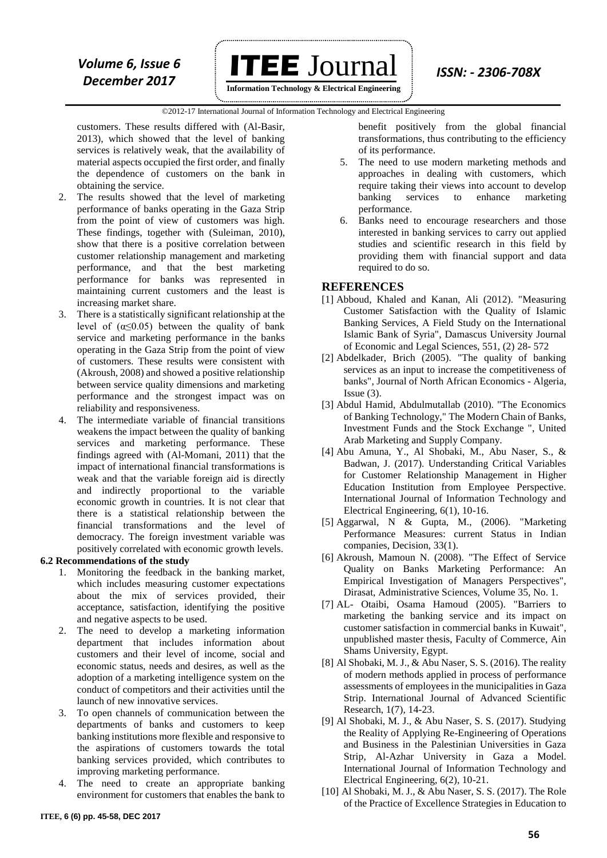

**Information Technology & Electrical Engineering**

#### ©2012-17 International Journal of Information Technology and Electrical Engineering `

customers. These results differed with (Al-Basir, 2013), which showed that the level of banking services is relatively weak, that the availability of material aspects occupied the first order, and finally the dependence of customers on the bank in obtaining the service.

- 2. The results showed that the level of marketing performance of banks operating in the Gaza Strip from the point of view of customers was high. These findings, together with (Suleiman, 2010), show that there is a positive correlation between customer relationship management and marketing performance, and that the best marketing performance for banks was represented in maintaining current customers and the least is increasing market share.
- 3. There is a statistically significant relationship at the level of  $(\alpha \le 0.05)$  between the quality of bank service and marketing performance in the banks operating in the Gaza Strip from the point of view of customers. These results were consistent with (Akroush, 2008) and showed a positive relationship between service quality dimensions and marketing performance and the strongest impact was on reliability and responsiveness.
- 4. The intermediate variable of financial transitions weakens the impact between the quality of banking services and marketing performance. These findings agreed with (Al-Momani, 2011) that the impact of international financial transformations is weak and that the variable foreign aid is directly and indirectly proportional to the variable economic growth in countries. It is not clear that there is a statistical relationship between the financial transformations and the level of democracy. The foreign investment variable was positively correlated with economic growth levels.

#### **6.2 Recommendations of the study**

- 1. Monitoring the feedback in the banking market, which includes measuring customer expectations about the mix of services provided, their acceptance, satisfaction, identifying the positive and negative aspects to be used.
- 2. The need to develop a marketing information department that includes information about customers and their level of income, social and economic status, needs and desires, as well as the adoption of a marketing intelligence system on the conduct of competitors and their activities until the launch of new innovative services.
- 3. To open channels of communication between the departments of banks and customers to keep banking institutions more flexible and responsive to the aspirations of customers towards the total banking services provided, which contributes to improving marketing performance.
- 4. The need to create an appropriate banking environment for customers that enables the bank to

benefit positively from the global financial transformations, thus contributing to the efficiency of its performance.

- 5. The need to use modern marketing methods and approaches in dealing with customers, which require taking their views into account to develop banking services to enhance marketing performance.
- 6. Banks need to encourage researchers and those interested in banking services to carry out applied studies and scientific research in this field by providing them with financial support and data required to do so.

#### **REFERENCES**

- [1] Abboud, Khaled and Kanan, Ali (2012). "Measuring Customer Satisfaction with the Quality of Islamic Banking Services, A Field Study on the International Islamic Bank of Syria", Damascus University Journal of Economic and Legal Sciences, 551, (2) 28- 572
- [2] Abdelkader, Brich (2005). "The quality of banking services as an input to increase the competitiveness of banks", Journal of North African Economics - Algeria, Issue  $(3)$ .
- [3] Abdul Hamid, Abdulmutallab (2010). "The Economics of Banking Technology," The Modern Chain of Banks, Investment Funds and the Stock Exchange ", United Arab Marketing and Supply Company.
- [4] Abu Amuna, Y., Al Shobaki, M., Abu Naser, S., & Badwan, J. (2017). Understanding Critical Variables for Customer Relationship Management in Higher Education Institution from Employee Perspective. International Journal of Information Technology and Electrical Engineering, 6(1), 10-16.
- [5] Aggarwal, N & Gupta, M., (2006). "Marketing Performance Measures: current Status in Indian companies, Decision, 33(1).
- [6] Akroush, Mamoun N. (2008). "The Effect of Service Quality on Banks Marketing Performance: An Empirical Investigation of Managers Perspectives", Dirasat, Administrative Sciences, Volume 35, No. 1.
- [7] AL- Otaibi, Osama Hamoud (2005). "Barriers to marketing the banking service and its impact on customer satisfaction in commercial banks in Kuwait", unpublished master thesis, Faculty of Commerce, Ain Shams University, Egypt.
- [8] Al Shobaki, M. J., & Abu Naser, S. S. (2016). The reality of modern methods applied in process of performance assessments of employees in the municipalities in Gaza Strip. International Journal of Advanced Scientific Research, 1(7), 14-23.
- [9] Al Shobaki, M. J., & Abu Naser, S. S. (2017). Studying the Reality of Applying Re-Engineering of Operations and Business in the Palestinian Universities in Gaza Strip, Al-Azhar University in Gaza a Model. International Journal of Information Technology and Electrical Engineering, 6(2), 10-21.
- [10] Al Shobaki, M. J., & Abu Naser, S. S. (2017). The Role of the Practice of Excellence Strategies in Education to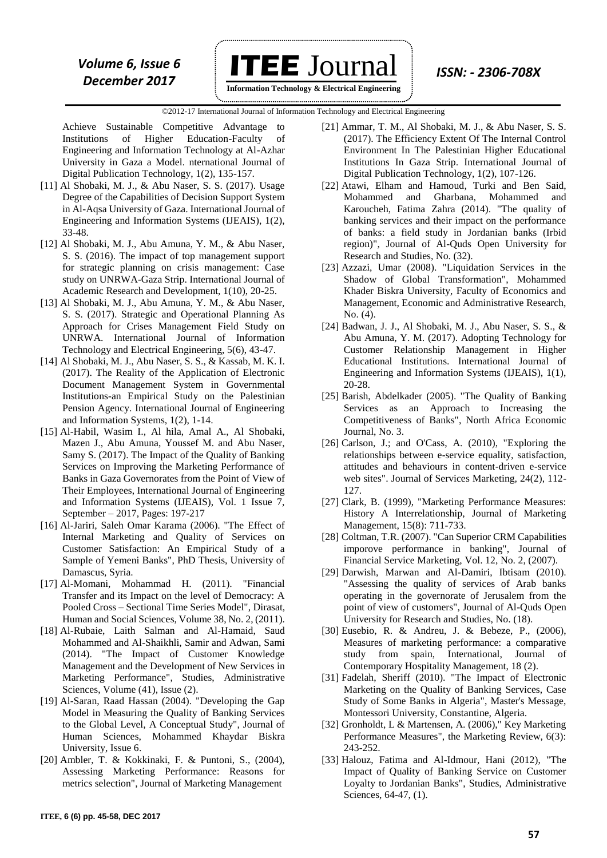

**Information Technology & Electrical Engineering**

 ©2012-17 International Journal of Information Technology and Electrical Engineering `

Achieve Sustainable Competitive Advantage to Institutions of Higher Education-Faculty of Engineering and Information Technology at Al-Azhar University in Gaza a Model. nternational Journal of Digital Publication Technology, 1(2), 135-157.

- [11] Al Shobaki, M. J., & Abu Naser, S. S. (2017). Usage Degree of the Capabilities of Decision Support System in Al-Aqsa University of Gaza. International Journal of Engineering and Information Systems (IJEAIS), 1(2), 33-48.
- [12] Al Shobaki, M. J., Abu Amuna, Y. M., & Abu Naser, S. S. (2016). The impact of top management support for strategic planning on crisis management: Case study on UNRWA-Gaza Strip. International Journal of Academic Research and Development, 1(10), 20-25.
- [13] Al Shobaki, M. J., Abu Amuna, Y. M., & Abu Naser, S. S. (2017). Strategic and Operational Planning As Approach for Crises Management Field Study on UNRWA. International Journal of Information Technology and Electrical Engineering, 5(6), 43-47.
- [14] Al Shobaki, M. J., Abu Naser, S. S., & Kassab, M. K. I. (2017). The Reality of the Application of Electronic Document Management System in Governmental Institutions-an Empirical Study on the Palestinian Pension Agency. International Journal of Engineering and Information Systems, 1(2), 1-14.
- [15] Al-Habil, Wasim I., Al hila, Amal A., Al Shobaki, Mazen J., Abu Amuna, Youssef M. and Abu Naser, Samy S. (2017). The Impact of the Quality of Banking Services on Improving the Marketing Performance of Banks in Gaza Governorates from the Point of View of Their Employees, International Journal of Engineering and Information Systems (IJEAIS), Vol. 1 Issue 7, September – 2017, Pages: 197-217
- [16] Al-Jariri, Saleh Omar Karama (2006). "The Effect of Internal Marketing and Quality of Services on Customer Satisfaction: An Empirical Study of a Sample of Yemeni Banks", PhD Thesis, University of Damascus, Syria.
- [17] Al-Momani, Mohammad H. (2011). "Financial Transfer and its Impact on the level of Democracy: A Pooled Cross – Sectional Time Series Model", Dirasat, Human and Social Sciences, Volume 38, No. 2, (2011).
- [18] Al-Rubaie, Laith Salman and Al-Hamaid, Saud Mohammed and Al-Shaikhli, Samir and Adwan, Sami (2014). "The Impact of Customer Knowledge Management and the Development of New Services in Marketing Performance", Studies, Administrative Sciences, Volume (41), Issue (2).
- [19] Al-Saran, Raad Hassan (2004). "Developing the Gap Model in Measuring the Quality of Banking Services to the Global Level, A Conceptual Study", Journal of Human Sciences, Mohammed Khaydar Biskra University, Issue 6.
- [20] Ambler, T. & Kokkinaki, F. & Puntoni, S., (2004), Assessing Marketing Performance: Reasons for metrics selection", Journal of Marketing Management
- [21] Ammar, T. M., Al Shobaki, M. J., & Abu Naser, S. S. (2017). The Efficiency Extent Of The Internal Control Environment In The Palestinian Higher Educational Institutions In Gaza Strip. International Journal of Digital Publication Technology, 1(2), 107-126.
- [22] Atawi, Elham and Hamoud, Turki and Ben Said, Mohammed and Gharbana, Mohammed and Karoucheh, Fatima Zahra (2014). "The quality of banking services and their impact on the performance of banks: a field study in Jordanian banks (Irbid region)", Journal of Al-Quds Open University for Research and Studies, No. (32).
- [23] Azzazi, Umar (2008). "Liquidation Services in the Shadow of Global Transformation", Mohammed Khader Biskra University, Faculty of Economics and Management, Economic and Administrative Research, No. (4).
- [24] Badwan, J. J., Al Shobaki, M. J., Abu Naser, S. S., & Abu Amuna, Y. M. (2017). Adopting Technology for Customer Relationship Management in Higher Educational Institutions. International Journal of Engineering and Information Systems (IJEAIS), 1(1), 20-28.
- [25] Barish, Abdelkader (2005). "The Quality of Banking Services as an Approach to Increasing the Competitiveness of Banks", North Africa Economic Journal, No. 3.
- [26] Carlson, J.; and O'Cass, A. (2010), "Exploring the relationships between e-service equality, satisfaction, attitudes and behaviours in content-driven e-service web sites". Journal of Services Marketing, 24(2), 112- 127.
- [27] Clark, B. (1999), "Marketing Performance Measures: History A Interrelationship, Journal of Marketing Management, 15(8): 711-733.
- [28] Coltman, T.R. (2007). "Can Superior CRM Capabilities imporove performance in banking", Journal of Financial Service Marketing, Vol. 12, No. 2, (2007).
- [29] Darwish, Marwan and Al-Damiri, Ibtisam (2010). "Assessing the quality of services of Arab banks operating in the governorate of Jerusalem from the point of view of customers", Journal of Al-Quds Open University for Research and Studies, No. (18).
- [30] Eusebio, R. & Andreu, J. & Bebeze, P., (2006), Measures of marketing performance: a comparative study from spain, International, Journal of Contemporary Hospitality Management, 18 (2).
- [31] Fadelah, Sheriff (2010). "The Impact of Electronic Marketing on the Quality of Banking Services, Case Study of Some Banks in Algeria", Master's Message, Montessori University, Constantine, Algeria.
- [32] Gronholdt, L & Martensen, A. (2006)," Key Marketing Performance Measures", the Marketing Review, 6(3): 243-252.
- [33] Halouz, Fatima and Al-Idmour, Hani (2012), "The Impact of Quality of Banking Service on Customer Loyalty to Jordanian Banks", Studies, Administrative Sciences, 64-47, (1).